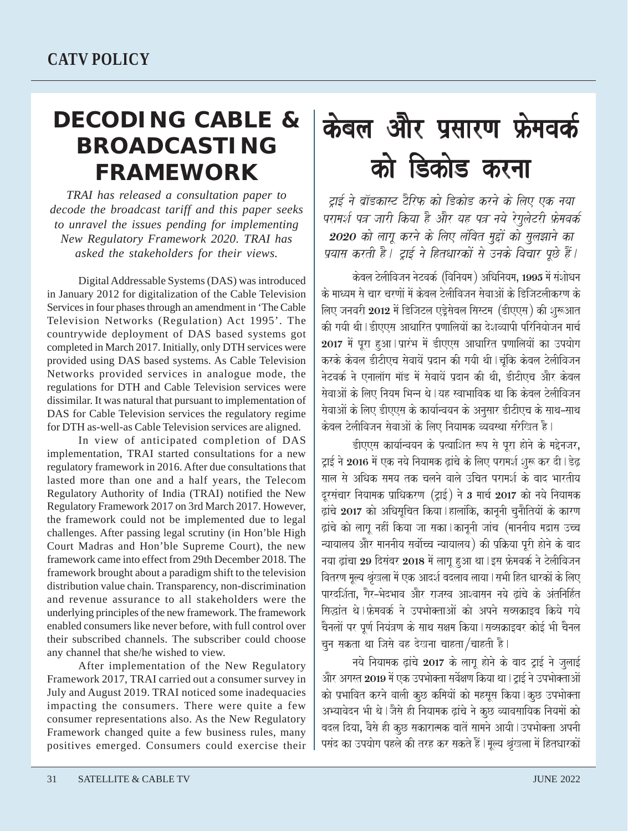## **DECODING CABLE & BROADCASTING FRAMEWORK**

*TRAI has released a consultation paper to decode the broadcast tariff and this paper seeks to unravel the issues pending for implementing New Regulatory Framework 2020. TRAI has asked the stakeholders for their views.*

Digital Addressable Systems (DAS) was introduced in January 2012 for digitalization of the Cable Television Services in four phases through an amendment in 'The Cable Television Networks (Regulation) Act 1995'. The countrywide deployment of DAS based systems got completed in March 2017. Initially, only DTH services were provided using DAS based systems. As Cable Television Networks provided services in analogue mode, the regulations for DTH and Cable Television services were dissimilar. It was natural that pursuant to implementation of DAS for Cable Television services the regulatory regime for DTH as-well-as Cable Television services are aligned.

In view of anticipated completion of DAS implementation, TRAI started consultations for a new regulatory framework in 2016. After due consultations that lasted more than one and a half years, the Telecom Regulatory Authority of India (TRAI) notified the New Regulatory Framework 2017 on 3rd March 2017. However, the framework could not be implemented due to legal challenges. After passing legal scrutiny (in Hon'ble High Court Madras and Hon'ble Supreme Court), the new framework came into effect from 29th December 2018. The framework brought about a paradigm shift to the television distribution value chain. Transparency, non-discrimination and revenue assurance to all stakeholders were the underlying principles of the new framework. The framework enabled consumers like never before, with full control over their subscribed channels. The subscriber could choose any channel that she/he wished to view.

After implementation of the New Regulatory Framework 2017, TRAI carried out a consumer survey in July and August 2019. TRAI noticed some inadequacies impacting the consumers. There were quite a few consumer representations also. As the New Regulatory Framework changed quite a few business rules, many positives emerged. Consumers could exercise their

# केबल और प्रसारण फ्रेमवर्क को डिकोड करना

टाई ने बॉडकास्ट टैरिफ को डिकोड करने के लिए एक नया परामर्श पत्र जारी किया है और यह पत्र नये रेगुलेटरी फ्रेमवर्क 2020 को लागू करने के लिए लंबित मुद्दों को सुलझाने का प्रयास करती है। टाई ने हितधारकों से उनके विचार पछे हैं।

 $k$ केबल टेलीविजन नेटवर्क (विनियम) अधिनियम, 1995 में संशोधन के माध्यम से चार चरणों में केबल टेलीविजन सेवाओं के डिजिटलीकरण के लिए जनवरी 2012 में डिजिटल एडेसेबल सिस्टम (डीएएस) की शरूआत की गयी थी।डीएएस आधारित पणालियों का देशव्यापी परिनियोजन मार्च 2017 में पुरा हुआ । प्रारंभ में डीएएस आधारित प्रणालियों का उपयोग करके केवल डीटीएच सेवायें प्रदान की गयी थी।चंकि केवल टेलीविजन नेटवर्क ने एनालॉग मॉड में सेवायें प्रदान की थी. डीटीएच और केबल सेवाओं के लिए नियम भिन्न थे । यह स्वाभाविक था कि केबल टेलीविजन .<br>सेवाओं के लिए डीएएस के कार्यान्वयन के अनुसार डीटीएच के साथ–साथ केबल टेलीविजन सेवाओं के लिए नियामक व्यवस्था संरेखित है।

डीएएस कार्यान्वयन के प्रत्याशित रूप से पूरा होने के मद्देनजर, टाई ने 2016 में एक नये नियामक ढांचे के लिए परामर्श शुरू कर दी।डेढ़ साल से अधिक समय तक चलने वाले उचित परामर्श के बाद भारतीय दूरसंचार नियामक प्राधिकरण (ट्राई) ने 3 मार्च 2017 को नये नियामक  $\vec{a}$ दांचे 2017 को अधिसुचित किया । हालांकि, कानूनी चुनौतियों के कारण द्वांचे को लागू नहीं किया जा सका |कानूनी जांच (माननीय मद्रास उच्च <u>न्यायालय और माननीय सर्वोच्च न्यायालय) की प्रक्रिया पुरी होने के बाद</u> नया ढ़ांचा 29 दिसंबर 2018 में लागू हुआ था । इस फ्रेमवर्क ने टेलीविजन वितरण मूल्य श्रृंखला में एक आदर्श बदलाव लाया। सभी हित धारकों के लिए पारदर्शिता. गैर–भेदभाव और राजस्व आश्वासन नये ढांचे के अंतनिर्हित सिद्धांत थे।फ्रेमवर्क ने उपभोक्ताओं को अपने सब्सक्राइब किये गये चैनलों पर पूर्ण नियंत्रण के साथ सक्षम किया । सब्सक्राइबर कोई भी चैनल चून सकता था जिसे वह देखना चाहता/चाहती है।

नये नियामक ढ़ांचे 2017 के लागू होने के बाद ट्राई ने जुलाई और अगस्त 2019 में एक उपभोक्ता सर्वेक्षण किया था। ट्राई ने उपभोक्ताओं को प्रभावित करने वाली कुछ कमियों को महसुस किया | कुछ उपभोक्ता अभ्यावेदन भी थे।जैसे ही नियामक ढ़ांचे ने कुछ व्यावसायिक नियमों को बदल दिया, वैसे ही कूछ सकारात्मक बातें सामने आयी । उपभोक्ता अपनी पसंद का उपयोग पहले की तरह कर सकते हैं।मुल्य श्रृंखला में हितधारकों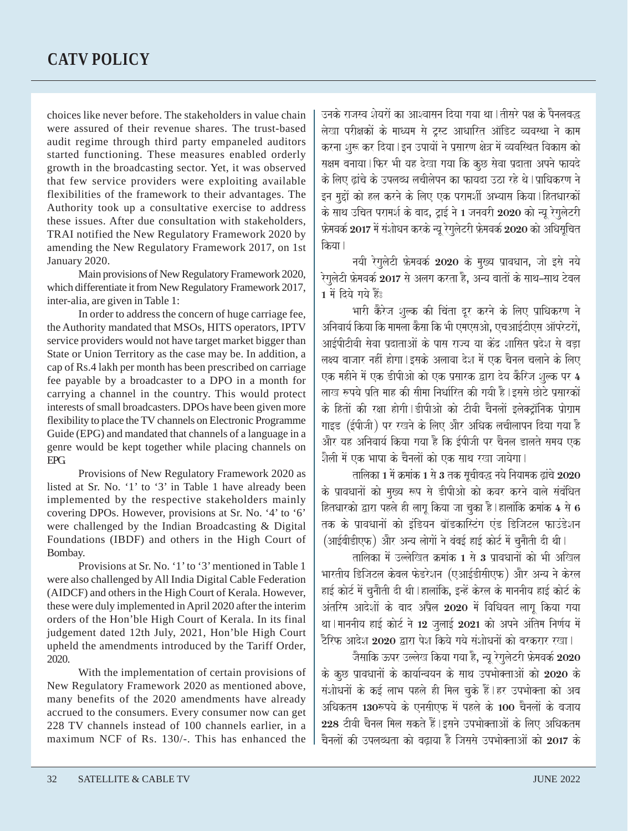choices like never before. The stakeholders in value chain were assured of their revenue shares. The trust-based audit regime through third party empaneled auditors started functioning. These measures enabled orderly growth in the broadcasting sector. Yet, it was observed that few service providers were exploiting available flexibilities of the framework to their advantages. The Authority took up a consultative exercise to address these issues. After due consultation with stakeholders, TRAI notified the New Regulatory Framework 2020 by amending the New Regulatory Framework 2017, on 1st January 2020.

Main provisions of New Regulatory Framework 2020, which differentiate it from New Regulatory Framework 2017, inter-alia, are given in Table 1:

In order to address the concern of huge carriage fee, the Authority mandated that MSOs, HITS operators, IPTV service providers would not have target market bigger than State or Union Territory as the case may be. In addition, a cap of Rs.4 lakh per month has been prescribed on carriage fee payable by a broadcaster to a DPO in a month for carrying a channel in the country. This would protect interests of small broadcasters. DPOs have been given more flexibility to place the TV channels on Electronic Programme Guide (EPG) and mandated that channels of a language in a genre would be kept together while placing channels on EPG.

Provisions of New Regulatory Framework 2020 as listed at Sr. No. '1' to '3' in Table 1 have already been implemented by the respective stakeholders mainly covering DPOs. However, provisions at Sr. No. '4' to '6' were challenged by the Indian Broadcasting & Digital Foundations (IBDF) and others in the High Court of Bombay.

Provisions at Sr. No. '1' to '3' mentioned in Table 1 were also challenged by All India Digital Cable Federation (AIDCF) and others in the High Court of Kerala. However, these were duly implemented in April 2020 after the interim orders of the Hon'ble High Court of Kerala. In its final judgement dated 12th July, 2021, Hon'ble High Court upheld the amendments introduced by the Tariff Order, 2020.

With the implementation of certain provisions of New Regulatory Framework 2020 as mentioned above, many benefits of the 2020 amendments have already accrued to the consumers. Every consumer now can get 228 TV channels instead of 100 channels earlier, in a maximum NCF of Rs. 130/-. This has enhanced the

उनके राजस्व शेयरों का आश्वासन दिया गया था।तीसरे पक्ष के पैनलबद्ध .<br>लेखा परीक्षकों के माध्यम से टस्ट आधारित ऑडिट व्यवस्था ने काम करना शरू कर दिया।इन उपायों ने प्रसारण क्षेत्र में व्यवस्थित विकास को सक्षम बनाया |फिर भी यह देखा गया कि कछ सेवा प्रदाता अपने फायदे के लिए ढांचे के उपलब्ध लचीलेपन का फायदा उठा रहे थे |प्राधिकरण ने  $\,$ इन मुद्दों को हल करने के लिए एक परामर्शी अभ्यास किया | हितधारकों के साथ उचित परामर्श के बाद, ट्राई ने 1 जनवरी 2020 को न्यू रेगुलेटरी फ़ेमवर्क 2017 में संशोधन करके न्यू रेगुलेटरी फ़्रेमवर्क 2020 को अधिसूचित किया।

नयी रेगुलेटी फ्रेमवर्क 2020 के मुख्य प्रावधान, जो इसे नये रेगुलेटी फ्रेमवर्क 2017 से अलग करता है, अन्य बातों के साथ–साथ टेबल  $1$  में दिये गये हैं:

भारी कैरेज शुल्क की चिंता दूर करने के लिए प्राधिकरण ने अनिवार्य किया कि मामला कैसा कि भी एमएसओ. एचआईटीएस ऑपरेटरों. आईपीटीवी सेवा प्रदाताओं के पास राज्य या केंद्र शासित प्रदेश से बड़ा लक्ष्य बाजार नहीं होगा l इसके अलावा देश में एक चैनल चलाने के लिए एक महीने में एक डीपीओ को एक प्रसारक द्वारा देय कैरिज शुल्क पर 4 लाख रुपये प्रति माह की सीमा निर्धारित की गयी है |इससे छोटे प्रसारकों के हितों की रक्षा होगी।डीपीओ को टीवी चैनलों इलेक्ट्रॉनिक प्रोग्राम गाइड (ईपीजी) पर रखने के लिए और अधिक लचीलापन दिया गया है .<br>और यह अनिवार्य किया गया है कि ईपीजी पर चैनल डालते समय एक शैली में एक भाषा के चैनलों को एक साथ रखा जायेगा l

तालिका 1 में क्रमांक 1 से 3 तक सचीबद्ध नये नियामक ढांचे 2020 के प्रावधानों को मुख्य रूप से डीपीओ को कवर करने वाले संबंधित हितधारको द्वारा पहले ही लागू किया जा चुका है।हालांकि क्रमांक 4 से 6 तक के प्रावधानों को इंडियन ब्रॉडकास्टिंग एंड डिजिटल फाउंडेशन (आईबीडीएफ) और अन्य लोगों ने बंबई हाई कोर्ट में चुनौती दी थी।

तालिका में उल्लेखित क्रमांक 1 से 3 प्रावधानों को भी अखिल भारतीय डिजिटल केबल फेडरेशन (एआईडीसीएफ) और अन्य ने केरल हाई कोर्ट में चनौती दी थी।हालांकि, इन्हें केरल के माननीय हाई कोर्ट के अंतरिम आदेशों के बाद अप्रैल 2020 में विधिवत लाग किया गया था । माननीय हाई कोर्ट ने 12 जुलाई 2021 को अपने अंतिम निर्णय में टैरिफ आदेश 2020 द्वारा पेश किये गये संशोधनों को बरकरार रखा।

जैसाकि ऊपर उल्लेख किया गया है, न्यू रेगुलेटरी फ्रेमवर्क 2020 के कछ प्रावधानों के कार्यान्वयन के साथ उपभोक्ताओं को  $2020$  के संशोधनों के कई लाभ पहले ही मिल चुके हैं।हर उपभोक्ता को अब अधिकतम 130रुपये के एनसीएफ में पहले के 100 चैनलों के बजाय  $228$  टीवी चैनल मिल सकते हैं |इसने उपभोक्ताओं के लिए अधिकतम चैनलों की उपलब्धता को बढाया है जिससे उपभोक्ताओं को  $2017$  के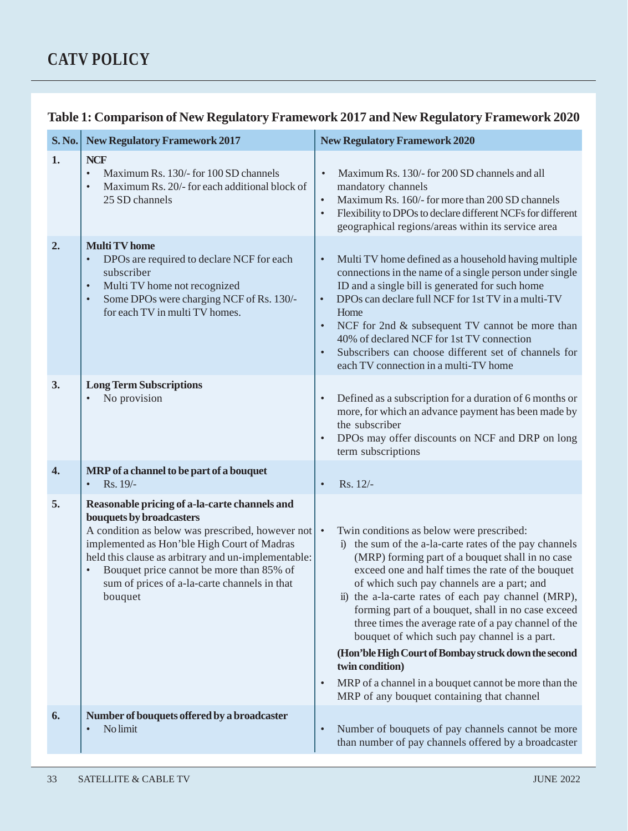| S. No. | <b>New Regulatory Framework 2017</b>                                                                                                                                                                                                                                                                                                                    | <b>New Regulatory Framework 2020</b>                                                                                                                                                                                                                                                                                                                                                                                                                                                                                                                                                                                                                                                        |  |  |
|--------|---------------------------------------------------------------------------------------------------------------------------------------------------------------------------------------------------------------------------------------------------------------------------------------------------------------------------------------------------------|---------------------------------------------------------------------------------------------------------------------------------------------------------------------------------------------------------------------------------------------------------------------------------------------------------------------------------------------------------------------------------------------------------------------------------------------------------------------------------------------------------------------------------------------------------------------------------------------------------------------------------------------------------------------------------------------|--|--|
| 1.     | <b>NCF</b><br>Maximum Rs. 130/- for 100 SD channels<br>$\bullet$<br>Maximum Rs. 20/- for each additional block of<br>$\bullet$<br>25 SD channels                                                                                                                                                                                                        | Maximum Rs. 130/- for 200 SD channels and all<br>$\bullet$<br>mandatory channels<br>Maximum Rs. 160/- for more than 200 SD channels<br>$\bullet$<br>Flexibility to DPOs to declare different NCFs for different<br>$\bullet$<br>geographical regions/areas within its service area                                                                                                                                                                                                                                                                                                                                                                                                          |  |  |
| 2.     | <b>Multi TV</b> home<br>DPOs are required to declare NCF for each<br>$\bullet$<br>subscriber<br>Multi TV home not recognized<br>$\bullet$<br>Some DPOs were charging NCF of Rs. 130/-<br>$\bullet$<br>for each TV in multi TV homes.                                                                                                                    | Multi TV home defined as a household having multiple<br>$\bullet$<br>connections in the name of a single person under single<br>ID and a single bill is generated for such home<br>DPOs can declare full NCF for 1st TV in a multi-TV<br>$\bullet$<br>Home<br>NCF for 2nd & subsequent TV cannot be more than<br>$\bullet$<br>40% of declared NCF for 1st TV connection<br>Subscribers can choose different set of channels for<br>$\bullet$<br>each TV connection in a multi-TV home                                                                                                                                                                                                       |  |  |
| 3.     | <b>Long Term Subscriptions</b><br>No provision                                                                                                                                                                                                                                                                                                          | Defined as a subscription for a duration of 6 months or<br>$\bullet$<br>more, for which an advance payment has been made by<br>the subscriber<br>DPOs may offer discounts on NCF and DRP on long<br>$\bullet$<br>term subscriptions                                                                                                                                                                                                                                                                                                                                                                                                                                                         |  |  |
| 4.     | MRP of a channel to be part of a bouquet<br>$Rs. 19/-$<br>$\bullet$                                                                                                                                                                                                                                                                                     | Rs. 12/-<br>$\bullet$                                                                                                                                                                                                                                                                                                                                                                                                                                                                                                                                                                                                                                                                       |  |  |
| 5.     | Reasonable pricing of a-la-carte channels and<br>bouquets by broadcasters<br>A condition as below was prescribed, however not<br>implemented as Hon'ble High Court of Madras<br>held this clause as arbitrary and un-implementable:<br>Bouquet price cannot be more than 85% of<br>$\bullet$<br>sum of prices of a-la-carte channels in that<br>bouquet | Twin conditions as below were prescribed:<br>$\bullet$<br>i) the sum of the a-la-carte rates of the pay channels<br>(MRP) forming part of a bouquet shall in no case<br>exceed one and half times the rate of the bouquet<br>of which such pay channels are a part; and<br>ii) the a-la-carte rates of each pay channel (MRP),<br>forming part of a bouquet, shall in no case exceed<br>three times the average rate of a pay channel of the<br>bouquet of which such pay channel is a part.<br>(Hon'ble High Court of Bombay struck down the second<br>twin condition)<br>MRP of a channel in a bouquet cannot be more than the<br>$\bullet$<br>MRP of any bouquet containing that channel |  |  |
| 6.     | Number of bouquets offered by a broadcaster<br>No limit<br>$\bullet$                                                                                                                                                                                                                                                                                    | Number of bouquets of pay channels cannot be more<br>$\bullet$<br>than number of pay channels offered by a broadcaster                                                                                                                                                                                                                                                                                                                                                                                                                                                                                                                                                                      |  |  |

#### **Table 1: Comparison of New Regulatory Framework 2017 and New Regulatory Framework 2020**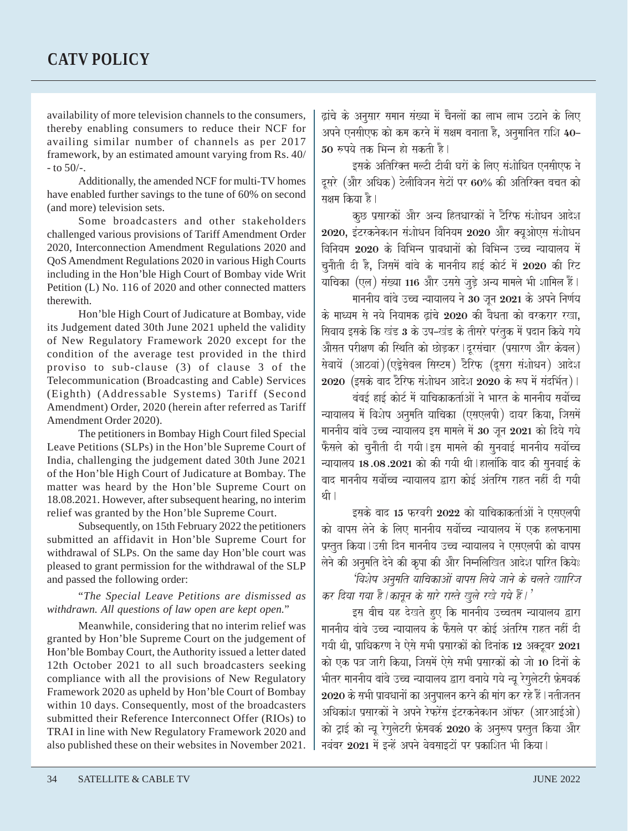availability of more television channels to the consumers, thereby enabling consumers to reduce their NCF for availing similar number of channels as per 2017 framework, by an estimated amount varying from Rs. 40/  $-$  to 50/ $-$ .

Additionally, the amended NCF for multi-TV homes have enabled further savings to the tune of 60% on second (and more) television sets.

Some broadcasters and other stakeholders challenged various provisions of Tariff Amendment Order 2020, Interconnection Amendment Regulations 2020 and QoS Amendment Regulations 2020 in various High Courts including in the Hon'ble High Court of Bombay vide Writ Petition (L) No. 116 of 2020 and other connected matters therewith.

Hon'ble High Court of Judicature at Bombay, vide its Judgement dated 30th June 2021 upheld the validity of New Regulatory Framework 2020 except for the condition of the average test provided in the third proviso to sub-clause (3) of clause 3 of the Telecommunication (Broadcasting and Cable) Services (Eighth) (Addressable Systems) Tariff (Second Amendment) Order, 2020 (herein after referred as Tariff Amendment Order 2020).

The petitioners in Bombay High Court filed Special Leave Petitions (SLPs) in the Hon'ble Supreme Court of India, challenging the judgement dated 30th June 2021 of the Hon'ble High Court of Judicature at Bombay. The matter was heard by the Hon'ble Supreme Court on 18.08.2021. However, after subsequent hearing, no interim relief was granted by the Hon'ble Supreme Court.

Subsequently, on 15th February 2022 the petitioners submitted an affidavit in Hon'ble Supreme Court for withdrawal of SLPs. On the same day Hon'ble court was pleased to grant permission for the withdrawal of the SLP and passed the following order:

"*The Special Leave Petitions are dismissed as withdrawn. All questions of law open are kept open.*"

Meanwhile, considering that no interim relief was granted by Hon'ble Supreme Court on the judgement of Hon'ble Bombay Court, the Authority issued a letter dated 12th October 2021 to all such broadcasters seeking compliance with all the provisions of New Regulatory Framework 2020 as upheld by Hon'ble Court of Bombay within 10 days. Consequently, most of the broadcasters submitted their Reference Interconnect Offer (RIOs) to TRAI in line with New Regulatory Framework 2020 and also published these on their websites in November 2021.

द्वांचे के अनुसार समान संख्या में चैनलों का लाभ लाभ उठाने के लिए अपने एनसीएफ को कम करने में सक्षम बनाता है, अनुमानित राशि 40–  $50$  रुपये तक भिन्न हो सकती है।

इसके अतिरिक्त मल्टी टीवी घरों के लिए संशोधित एनसीएफ ने दूसरे (और अधिक) टेलीविजन सेटों पर 60% की अतिरिक्त बचत को सक्षम किया है।

कुछ प्रसारकों और अन्य हितधारकों ने टैरिफ संशोधन आदेश  $2020$ , इंटरकनेक्शन संशोधन विनियम  $2020$  और क्युओएस संशोधन विनियम 2020 के विभिन्न पावधानों को विभिन्न उच्च न्यायालय में चुनौती दी है, जिसमें बांबे के माननीय हाई कोर्ट में 2020 की रिट याचिका (एल) संख्या 116 और उससे जुड़े अन्य मामले भी शामिल हैं। माननीय बांबे उच्च न्यायालय ने 30 जन 2021 के अपने निर्णय

के माध्यम से नये नियामक ढांचे 2020 की वैधता को बरकरार रखा. सिवाय इसके कि खंड 3 के उप–खंड के तीसरे परंतक में प्रदान किये गये .<br>औसत परीक्षण की स्थिति को छोड़कर ।दूरसंचार (प्रसारण और केवल) सेवायें (आठवां) (एड्रेसेबल सिस्टम) टैरिफ (दुसरा संशोधन) आदेश  $2020$  (इसके बाद टैरिफ संशोधन आदेश  $2020$  के रूप में संदर्भित)।

बंबई हाई कोर्ट में याचिकाकर्ताओं ने भारत के माननीय सर्वोच्च न्यायालय में विशेष अनुमति याचिका (एसएलपी) दायर किया, जिसमें माननीय बांबे उच्च न्यायालय इस मामले में 30 जून 2021 को दिये गये .<br>फैसले को चूनौती दी गयी।इस मामले की सुनवाई माननीय सर्वोच्च न्यायालय 18.08.2021 को की गयी थी |हालांकि बाद की सुनवाई के बाद माननीय सर्वोच्च न्यायालय द्वारा कोई अंतरिम राहत नहीं दी गयी थी ।

इसके बाद 15 फरवरी 2022 को याचिकाकर्ताओं ने एसएलपी को वापस लेने के लिए माननीय सर्वोच्च न्यायालय में एक हलफनामा प्रस्तुत किया | उसी दिन माननीय उच्च न्यायालय ने एसएलपी को वापस .<br>लेने की अनुमति देने की कृपा की और निम्नलिखित आदेश पारित किये**:** 'विशेष अनमति याचिकाओं वापस लिये जाने के चलते खाारिज

कर दिया गया है । कानून के सारे रास्ते खले रखे गये हैं । '

इस बीच यह देखते हुए कि माननीय उच्चतम न्यायालय द्वारा माननीय बांबे उच्च न्यायालय के फैसले पर कोई अंतरिम राहत नहीं दी गयी थी, प्राधिकरण ने ऐसे सभी प्रसारकों को दिनांक 12 अक्टूबर 2021 को एक पत्र जारी किया. जिसमें ऐसे सभी प्रसारकों को जो 10 दिनों के भीतर माननीय बांबे उच्च न्यायालय द्वारा बनाये गये न्यू रेगुलेटरी फ्रेमवर्क  $2020$  के सभी प्रावधानों का अनपालन करने की मांग कर रहे हैं।नतीजतन अधिकांश प्रसारकों ने अपने रेफरेंस इंटरकनेक्शन ऑफर (आरआईओ) को ट्राई को न्यू रेगुलेटरी फ्रेमवर्क 2020 के अनुरूप प्रस्तुत किया और नवंबर 2021 में इन्हें अपने वेबसाइटों पर प्रकाशित भी किया।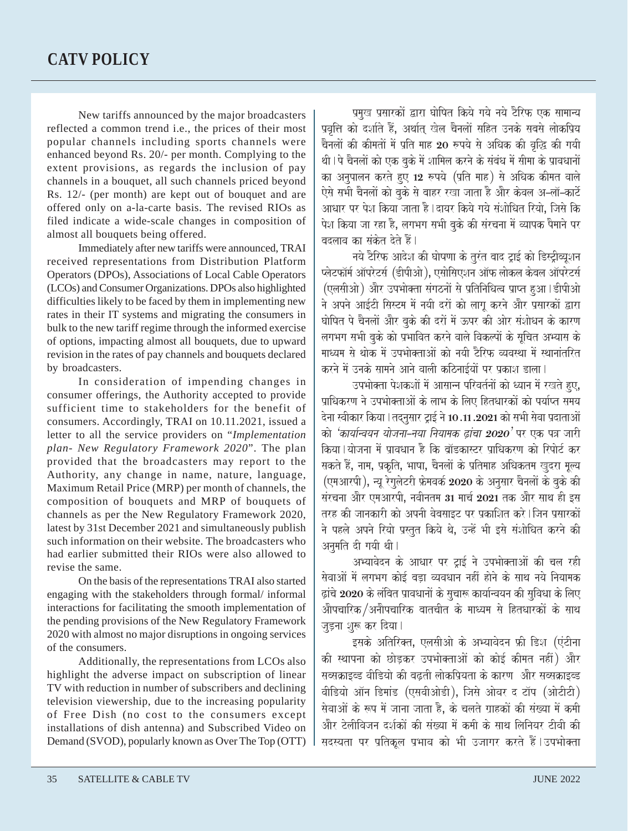New tariffs announced by the major broadcasters reflected a common trend i.e., the prices of their most popular channels including sports channels were enhanced beyond Rs. 20/- per month. Complying to the extent provisions, as regards the inclusion of pay channels in a bouquet, all such channels priced beyond Rs. 12/- (per month) are kept out of bouquet and are offered only on a-la-carte basis. The revised RIOs as filed indicate a wide-scale changes in composition of almost all bouquets being offered.

Immediately after new tariffs were announced, TRAI received representations from Distribution Platform Operators (DPOs), Associations of Local Cable Operators (LCOs) and Consumer Organizations. DPOs also highlighted difficulties likely to be faced by them in implementing new rates in their IT systems and migrating the consumers in bulk to the new tariff regime through the informed exercise of options, impacting almost all bouquets, due to upward revision in the rates of pay channels and bouquets declared by broadcasters.

In consideration of impending changes in consumer offerings, the Authority accepted to provide sufficient time to stakeholders for the benefit of consumers. Accordingly, TRAI on 10.11.2021, issued a letter to all the service providers on "*Implementation plan- New Regulatory Framework 2020*". The plan provided that the broadcasters may report to the Authority, any change in name, nature, language, Maximum Retail Price (MRP) per month of channels, the composition of bouquets and MRP of bouquets of channels as per the New Regulatory Framework 2020, latest by 31st December 2021 and simultaneously publish such information on their website. The broadcasters who had earlier submitted their RIOs were also allowed to revise the same.

On the basis of the representations TRAI also started engaging with the stakeholders through formal/ informal interactions for facilitating the smooth implementation of the pending provisions of the New Regulatory Framework 2020 with almost no major disruptions in ongoing services of the consumers.

Additionally, the representations from LCOs also highlight the adverse impact on subscription of linear TV with reduction in number of subscribers and declining television viewership, due to the increasing popularity of Free Dish (no cost to the consumers except installations of dish antenna) and Subscribed Video on Demand (SVOD), popularly known as Over The Top (OTT)

प्रमख प्रसारकों द्वारा घोषित किये गये नये टैरिफ एक सामान्य प्रवृत्ति को दर्शाते हैं, अर्थात् खेल चैनलों सहित उनके सबसे लोकप्रिय चैनलों की कीमतों में प्रति माह 20 रुपये से अधिक की वृद्धि की गयी थी । पे चैनलों को एक बके में शामिल करने के संबंध में सीमा के प्रावधानों का अनुपालन करते हुए 12 रुपये (प्रति माह) से अधिक कीमत वाले ऐसे सभी चैनलों को बके से बाहर रखा जाता है और केवल अ–लॉ–कार्टे आधार पर पेश किया जाता है | दायर किये गये संशोधित रियो, जिसे कि पेश किया जा रहा है, लगभग सभी बूके की संरचना में व्यापक पैमाने पर बदलाव का संकेत देते हैं।

नये टैरिफ आदेश की घोषणा के तुरंत बाद ट्राई को डिस्ट्रीब्यूशन  $\vec P$ क्लेटफॉर्म ऑपरेटर्स (डीपीओ), एसोसिएशन ऑफ लोकल केवल ऑपरेटर्स (एलसीओ) और उपभोक्ता संगठनों से प्रतिनिधित्व प्राप्त हुआ | डीपीओ ने अपने आईटी सिस्टम में नयी दरों को लागू करने और प्रसारकों द्वारा घोषित पे चैनलों और बुके की दरों में ऊपर की ओर संशोधन के कारण लगभग सभी बुके को प्रभावित करने वाले विकल्पों के सूचित अभ्यास के माध्यम से थोक में उपभोक्ताओं को नयी टैरिफ व्यवस्था में स्थानांतरित करने में उनके सामने आने वाली कठिनाईयों पर प्रकाश डाला।

उपभोक्ता पेशकशों में आसान्न परिवर्तनों को ध्यान में रखते हए. प्राधिकरण ने उपभोक्ताओं के लाभ के लिए हितधारकों को पर्याप्त समय देना स्वीकार किया। तदनसार टाई ने 10.11.2021 को सभी सेवा प्रदाताओं को *'कार्यान्वयन योजना-नया नियामक ढांचा 2020'* पर एक पत्र जारी किया | योजना में पावधान है कि बॉडकास्टर पाधिकरण को रिपोर्ट कर सकते हैं, नाम, प्रकृति, भाषा, चैनलों के प्रतिमाह अधिकतम खुदरा मूल्य (एमआरपी), न्यू रेगुलेटरी फ्रेमवर्क 2020 के अनुसार चैनलों के बुके की संरचना और एमआरपी, नवीनतम 31 मार्च 2021 तक और साथ ही इस तरह की जानकारी को अपनी वेबसाइट पर पकाशित करे।जिन पसारकों ने पहले अपने रियो प्रस्तुत किये थे, उन्हें भी इसे संशोधित करने की अनमति दी गयी थी।

अभ्यावेदन के आधार पर ट्राई ने उपभोक्ताओं की चल रही .<br>सेवाओं में लगभग कोई बडा व्यवधान नहीं होने के साथ नये नियामक द्धांचे 2020 के लंबित प्रावधानों के सुचारू कार्यान्वयन की सुविधा के लिए .<br>औपचारिक/अनौपचारिक बातचीत के माध्यम से हितधारकों के साथ जडना शरू कर दिया।

<del>-</del><br>इसके अतिरिक्त, एलसीओ के अभ्यावेदन फ्री डिश (एंटीना की स्थापना को छोडकर उपभोक्ताओं को कोई कीमत नहीं) और सब्सक्राइब्ड वीडियो की बढती लोकप्रियता के कारण और सब्सक्राइब्ड वीडियो ऑन डिमांड (एसवीओडी), जिसे ओवर द टॉप (ओटीटी) सेवाओं के रूप में जाना जाता है, के चलते ग्राहकों की संख्या में कमी <u>और टेलीविजन दर्शकों की संख्या में कमी के साथ लिनियर टीवी की</u> सदस्यता पर प्रतिकल प्रभाव को भी उजागर करते हैं।उपभोक्ता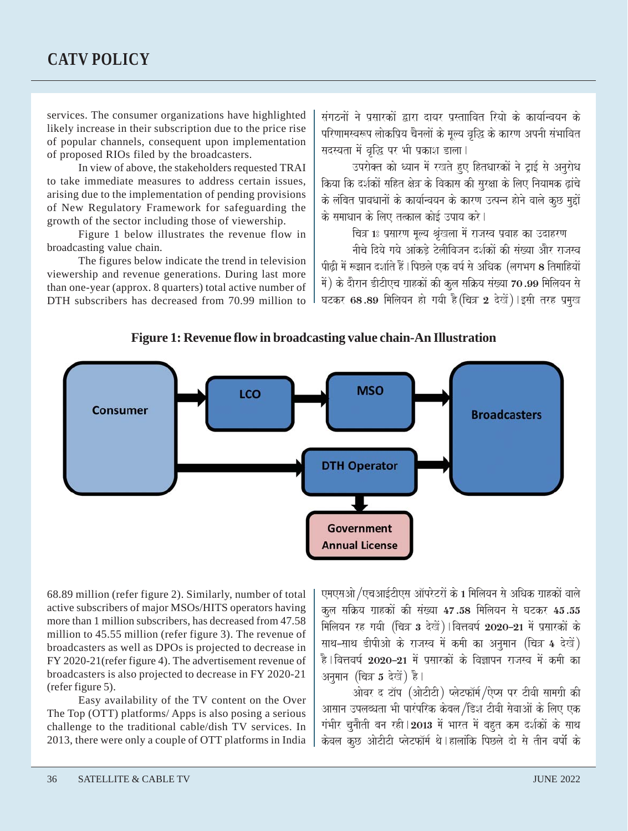#### **CATV POLICY**

services. The consumer organizations have highlighted likely increase in their subscription due to the price rise of popular channels, consequent upon implementation of proposed RIOs filed by the broadcasters.

In view of above, the stakeholders requested TRAI to take immediate measures to address certain issues, arising due to the implementation of pending provisions of New Regulatory Framework for safeguarding the growth of the sector including those of viewership.

Figure 1 below illustrates the revenue flow in broadcasting value chain.

The figures below indicate the trend in television viewership and revenue generations. During last more than one-year (approx. 8 quarters) total active number of DTH subscribers has decreased from 70.99 million to

संगठनों ने प्रसारकों द्वारा दायर पस्ताावित रियो के कार्यान्वयन के परिणामस्वरूप लोकप्रिय चैनलों के मूल्य वृद्धि के कारण अपनी संभावित सदस्यता में वृद्धि पर भी प्रकाश डाला।

उपरोक्त को ध्यान में रखते हुए हितधारकों ने ट्राई से अनुरोध <u>किया कि दर्शकों सहित क्षेत्र के विकास की सरक्षा के लिए नियामक ढांचे</u> के लंबित प्रावधानों के कार्यान्वयन के कारण उत्पन्न होने वाले कछ महों के समाधान के लिए तत्काल कोई उपाय करे।

चित्र 1: प्रसारण मूल्य श्रृंखला में राजस्व प्रवाह का उदाहरण

नीचे दिये गये आंकडे टेलीविजन दर्शकों की संख्या और राजस्व पीढी में रूझान दर्शाते हैं । पिछले एक वर्ष से अधिक *(*लगभग 8 तिमाहियों में) के दौरान डीटीएच ग्राहकों की कूल सक्रिय संख्या 70.99 मिलियन से घटकर 68.89 मिलियन हो गयी है (चित्र 2 देखें) ।इसी तरह प्रमुख





68.89 million (refer figure 2). Similarly, number of total active subscribers of major MSOs/HITS operators having more than 1 million subscribers, has decreased from 47.58 million to 45.55 million (refer figure 3). The revenue of broadcasters as well as DPOs is projected to decrease in FY 2020-21(refer figure 4). The advertisement revenue of broadcasters is also projected to decrease in FY 2020-21 (refer figure 5).

Easy availability of the TV content on the Over The Top (OTT) platforms/ Apps is also posing a serious challenge to the traditional cable/dish TV services. In 2013, there were only a couple of OTT platforms in India

एमएसओ /एचआईटीएस ऑपरेटरों के 1 मिलियन से अधिक ग्राहकों वाले कुल सक्रिय ग्राहकों की संख्या 47.58 मिलियन से घटकर 45.55 मिलियन रह गयी (चित्र 3 देखें) । वित्तवर्ष 2020–21 में प्रसारकों के साथ-साथ डीपीओ के राजस्व में कमी का अनुमान (चित्र 4 देखें) है । वित्तवर्ष 2020–21 में प्रसारकों के विज्ञापन राजस्व में कमी का अनुमान (चित्र 5 देखें) है।

ओवर द टॉप (ओटीटी) प्लेटफॉर्म/ऐप्स पर टीवी सामग्री की आसान उपलब्धता भी पारंपरिक केबल/डिश टीवी सेवाओं के लिए एक गंभीर चुनौती बन रही | 2013 में भारत में बहुत कम दर्शकों के साथ केवल कुछ ओटीटी प्लेटफॉर्म थे।हालांकि पिछले दो से तीन वर्षो के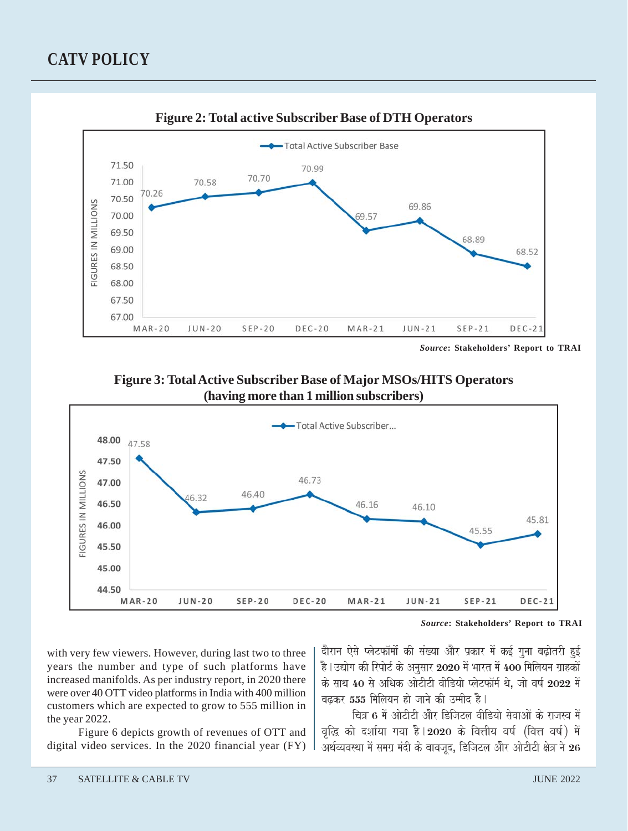### **CATV POLICY**



*Source***: Stakeholders' Report to TRAI**





*Source***: Stakeholders' Report to TRAI**

with very few viewers. However, during last two to three years the number and type of such platforms have increased manifolds. As per industry report, in 2020 there were over 40 OTT video platforms in India with 400 million customers which are expected to grow to 555 million in the year 2022.

Figure 6 depicts growth of revenues of OTT and digital video services. In the 2020 financial year (FY) दौरान ऐसे प्लेटफॉर्मो की संख्या और प्रकार में कई गुना बढ़ोतरी हुई है।उद्योग की रिपोर्ट के अनुसार 2020 में भारत में 400 मिलियन ग्राहकों के साथ 40 से अधिक ओटीटी वीडियो प्लेटफॉर्म थे. जो वर्ष 2022 में बढकर  $555$  मिलियन हो जाने की उम्मीद है।

चित्र 6 में ओटीटी और डिजिटल वीडियो सेवाओं के राजस्व में वृद्धि को दर्शाया गया है। 2020 के वित्तीय वर्ष (वित्त वर्ष) में अर्थव्यवस्था में समग्र मंदी के बावजद, डिजिटल और ओटीटी क्षेत्र ने  ${\bf 26}$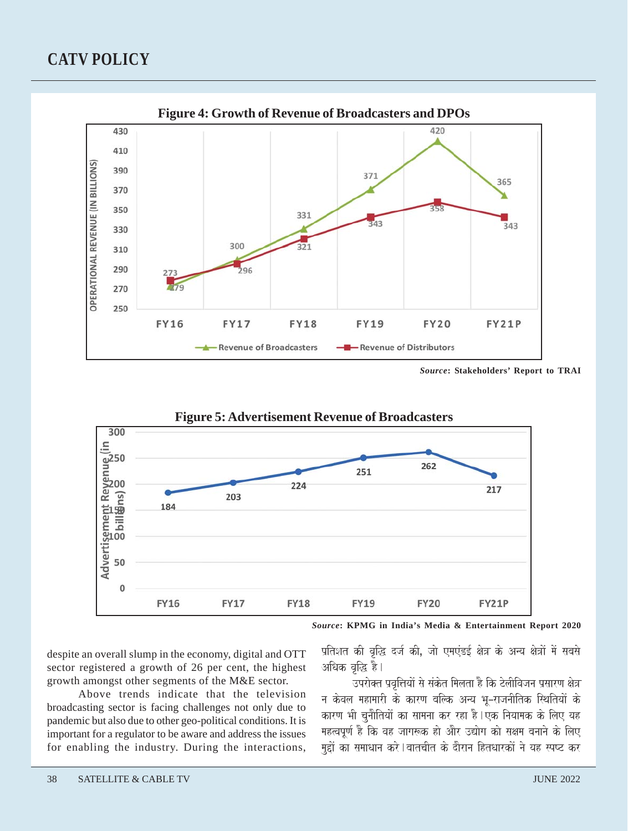#### **CATV POLICY**



*Source***: Stakeholders' Report to TRAI**



*Source***: KPMG in India's Media & Entertainment Report 2020**

despite an overall slump in the economy, digital and OTT sector registered a growth of 26 per cent, the highest growth amongst other segments of the M&E sector.

Above trends indicate that the television broadcasting sector is facing challenges not only due to pandemic but also due to other geo-political conditions. It is important for a regulator to be aware and address the issues for enabling the industry. During the interactions,

प्रतिशत की वृद्धि दर्ज की, जो एमएंडई क्षेत्र के अन्य क्षेत्रों में सबसे अधिक वद्धि है।

उपरोक्त प्रवृत्तियों से संकेत मिलता है कि टेलीविजन प्रसारण क्षेत्र न केवल महामारी के कारण बल्कि अन्य भू–राजनीतिक स्थितियों के कारण भी चुनौतियों का सामना कर रहा है।एक नियामक के लिए यह महत्वपूर्ण है कि वह जागरूक हो और उद्योग को सक्षम बनाने के लिए मुद्दों का समाधान करे । बातचीत के दौरान हितधारकों ने यह स्पष्ट कर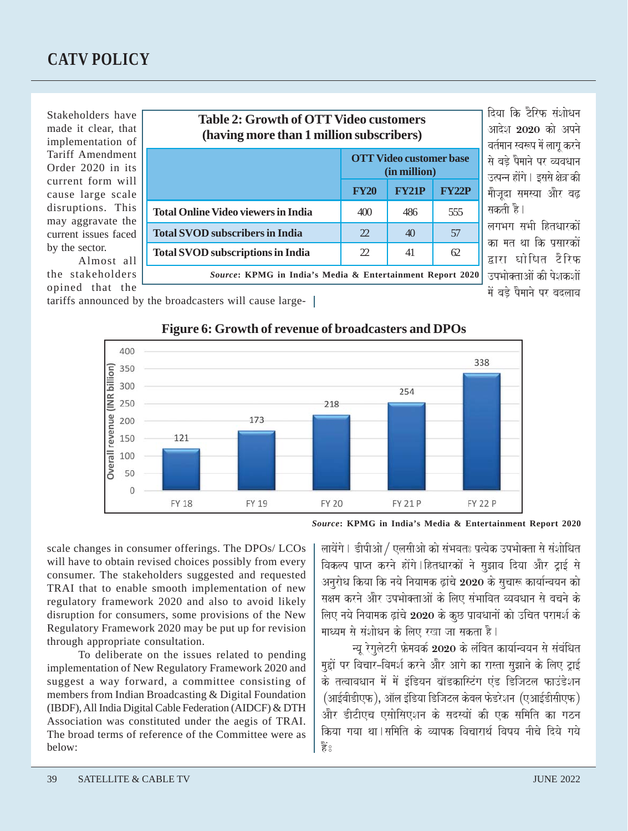Stakeholders have made it clear, that implementation of Tariff Amendment Order 2020 in its current form will cause large scale disruptions. This may aggravate the current issues faced by the sector.

Almost all the stakeholders opined that the

| <b>Table 2: Growth of OTT Video customers</b><br>(having more than 1 million subscribers) |                                                |              |              |  |
|-------------------------------------------------------------------------------------------|------------------------------------------------|--------------|--------------|--|
|                                                                                           | <b>OTT Video customer base</b><br>(in million) |              |              |  |
|                                                                                           | <b>FY20</b>                                    | <b>FY21P</b> | <b>FY22P</b> |  |
| <b>Total Online Video viewers in India</b>                                                | 400                                            | 486          | 555          |  |
| <b>Total SVOD</b> subscribers in India                                                    | 22                                             | 40           | 57           |  |
| <b>Total SVOD</b> subscriptions in India                                                  | 22                                             | 41           | 62           |  |
| Source: KPMG in India's Media & Entertainment Report 2020                                 |                                                |              |              |  |

दिया कि टैरिफ संशोधन आदेश  $2020$  को अपने वर्तमान स्वरूप में लाग करने से बडे पैमाने पर व्यवधान उत्पन्न होंगे । इससे क्षेत्र की मौजदा समस्या और बढ सकती है। लगभग सभी दितधारकों

का मत था कि पसारकों द्वारा घोषित टैरिफ .<br>उपभोक्ताओं की पेशकशों में बडे पैमाने पर बदलाव

tariffs announced by the broadcasters will cause large-



#### **Figure 6: Growth of revenue of broadcasters and DPOs**

*Source***: KPMG in India's Media & Entertainment Report 2020**

scale changes in consumer offerings. The DPOs/ LCOs will have to obtain revised choices possibly from every consumer. The stakeholders suggested and requested TRAI that to enable smooth implementation of new regulatory framework 2020 and also to avoid likely disruption for consumers, some provisions of the New Regulatory Framework 2020 may be put up for revision through appropriate consultation.

To deliberate on the issues related to pending implementation of New Regulatory Framework 2020 and suggest a way forward, a committee consisting of members from Indian Broadcasting & Digital Foundation (IBDF), All India Digital Cable Federation (AIDCF) & DTH Association was constituted under the aegis of TRAI. The broad terms of reference of the Committee were as below:

लायेंगे। डीपीओ / एलसीओ को संभवतः प्रत्येक उपभोक्ता से संशोधित विकल्प प्राप्त करने होंगे । हितधारकों ने सुझाव दिया और ट्राई से अनुरोध किया कि नये नियामक ढ़ांचे 2020 के सुचारू कार्यान्वयन को सक्षम करने और उपभोक्ताओं के लिए संभावित व्यवधान से बचने के लिए नये नियामक ढ़ांचे 2020 के कुछ प्रावधानों को उचित परामर्श के माध्यम से संशोधन के लिए रखा जा सकता है।

न्यू रेगुलेटरी फ्रेमवर्क 2020 के लंबित कार्यान्वयन से संबंधित .<br>मुद्दों पर विचार–विमर्श करने और आगे का रास्ता सुझाने के लिए ट्राई के तत्वावधान में में इंडियन ब्रॉडकास्टिंग एंड डिजिटल फाउंडेशन (आईबीडीएफ), ऑल इंडिया डिजिटल केबल फेडरेशन (एआईडीसीएफ) और डीटीएच एसोसिएशन के सदस्यों की एक समिति का गठन किया गया था।समिति के व्यापक विचारार्थ विषय नीचे दिये गये  $\frac{1}{2}$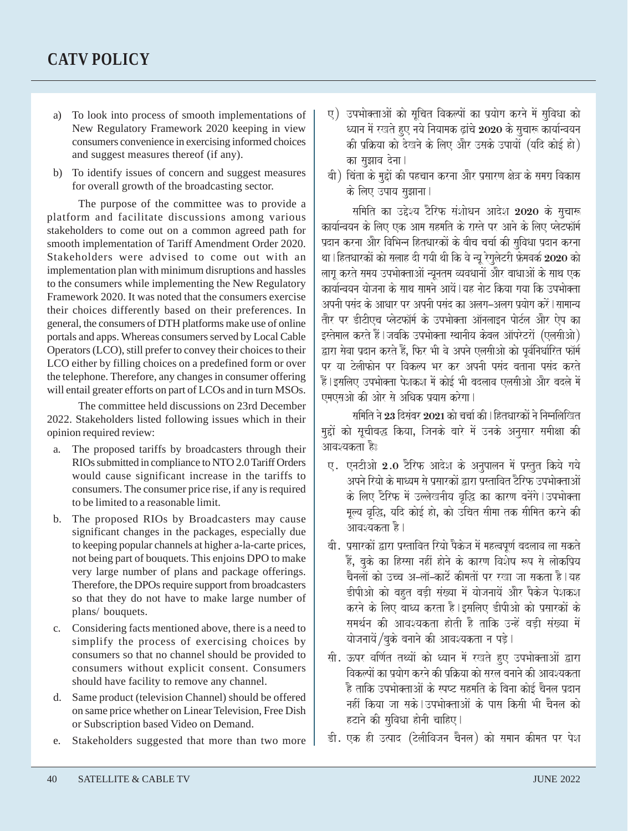- a) To look into process of smooth implementations of New Regulatory Framework 2020 keeping in view consumers convenience in exercising informed choices and suggest measures thereof (if any).
- b) To identify issues of concern and suggest measures for overall growth of the broadcasting sector.

The purpose of the committee was to provide a platform and facilitate discussions among various stakeholders to come out on a common agreed path for smooth implementation of Tariff Amendment Order 2020. Stakeholders were advised to come out with an implementation plan with minimum disruptions and hassles to the consumers while implementing the New Regulatory Framework 2020. It was noted that the consumers exercise their choices differently based on their preferences. In general, the consumers of DTH platforms make use of online portals and apps. Whereas consumers served by Local Cable Operators (LCO), still prefer to convey their choices to their LCO either by filling choices on a predefined form or over the telephone. Therefore, any changes in consumer offering will entail greater efforts on part of LCOs and in turn MSOs.

The committee held discussions on 23rd December 2022. Stakeholders listed following issues which in their opinion required review:

- a. The proposed tariffs by broadcasters through their RIOs submitted in compliance to NTO 2.0 Tariff Orders would cause significant increase in the tariffs to consumers. The consumer price rise, if any is required to be limited to a reasonable limit.
- b. The proposed RIOs by Broadcasters may cause significant changes in the packages, especially due to keeping popular channels at higher a-la-carte prices, not being part of bouquets. This enjoins DPO to make very large number of plans and package offerings. Therefore, the DPOs require support from broadcasters so that they do not have to make large number of plans/ bouquets.
- c. Considering facts mentioned above, there is a need to simplify the process of exercising choices by consumers so that no channel should be provided to consumers without explicit consent. Consumers should have facility to remove any channel.
- d. Same product (television Channel) should be offered on same price whether on Linear Television, Free Dish or Subscription based Video on Demand.
- e. Stakeholders suggested that more than two more
- ए) उपभोक्ताओं को सूचित विकल्पों का प्रयोग करने में सुविधा को ध्यान में रखते हुए नये नियामक ढ़ांचे 2020 के सुचारू कार्यान्वयन की प्रक्रिया को देखने के लिए और उसके उपायों (यदि कोई हो) का सझाव देना।
- बी) चिंता के मुद्दों की पहचान करना और प्रसारण क्षेत्र के समग्र विकास के लिए उपाय सुझाना |

समिति का उद्देश्य टैरिफ संशोधन आदेश 2020 के सुचारू कार्यान्वयन के लिए एक आम सहमति के रास्ते पर आने के लिए प्लेटफॉर्म प्रदान करना और विभिन्न हितधारकों के बीच चर्चा की सुविधा प्रदान करना था। हितधारकों को सलाह दी गयी थी कि वे न्यू रेगुलेटरी फ्रेमवर्क 2020 को लाग करते समय उपभोक्ताओं न्यनतम व्यवधानों और बाधाओं के साथ एक कार्यान्वयन योजना के साथ सामने आयें | यह नोट किया गया कि उपभोक्ता अपनी पसंद के आधार पर अपनी पसंद का अलग–अलग प्रयोग करें । सामान्य तौर पर डीटीएच प्लेटफॉर्म के उपभोक्ता ऑनलाइन पोर्टल और ऐप का इस्तेमाल करते हैं।जबकि उपभोक्ता स्थानीय केबल ऑपरेटरों (एलसीओ) द्वारा सेवा प्रदान करते हैं, फिर भी वे अपने एलसीओ को पूर्वनिर्धारित फॉर्<del>म</del> पर या टेलीफोन पर विकल्प भर कर अपनी पसंद बताना पसंद करते .<br>हैं।इसलिए उपभोक्ता पेशकश में कोई भी बदलाव एलसीओ और बदले में एमएसओ की ओर से अधिक प्रयास करेगा।

समिति ने 23 दिसंबर 2021 को चर्चा की । हितधारकों ने निम्नलिखित मद्दों को सचीबद्ध किया, जिनके बारे में उनके अनसार समीक्षा की आवश्यकता है:

- ए. एनटीओ 2.0 टैरिफ आदेश के अनुपालन में प्रस्तुत किये गये .<br>अपने रियो के माध्यम से प्रसारकों द्वारा प्रस्तावित टैरिफ उपभोक्ताओं के लिए टैरिफ में उल्लेखनीय वृद्धि का कारण बनेंगे।उपभोक्ता मूल्य वृद्धि, यदि कोई हो, को उँचित सीमा तक सीमित करने की आवश्यकता है।
- बी. प्रसारकों द्वारा प्रस्तावित रियो पैकेज में महत्वपूर्ण बदलाव ला सकते .<br>हैं, बुके का हिस्सा नहीं होने के कारण विशेष रूप से लोकप्रिय चैनलों को उच्च अ–लॉ–कार्टे कीमतों पर रखा जा सकता है।यह डीपीओ को बहुत बड़ी संख्या में योजनायें और पैकेज पेशकश करने के लिए बाध्य करता है।इसलिए डीपीओ को प्रसारकों के समर्थन की आवश्यकता होती है ताकि उन्हें बड़ी संख्या में योजनायें /बुके बनाने की आवश्यकता न पड़े।
- सी. ऊपर वर्णित तथ्यों को ध्यान में रखते हुए उपभोक्ताओं द्वारा <u>विकल्पों का पयोग करने की प्रकिया को सरल बनाने की आवश्यकता</u> .<br>है ताकि उपभोक्ताओं के स्पष्ट सहमति के बिना कोई चैनल प्रदान नहीं किया जा सके।उपभोक्ताओं के पास किसी भी चैनल को हटाने की सुविधा होनी चाहिए।
- डी. एक ही उत्पाद (टेलीविजन चैनल) को समान कीमत पर पेश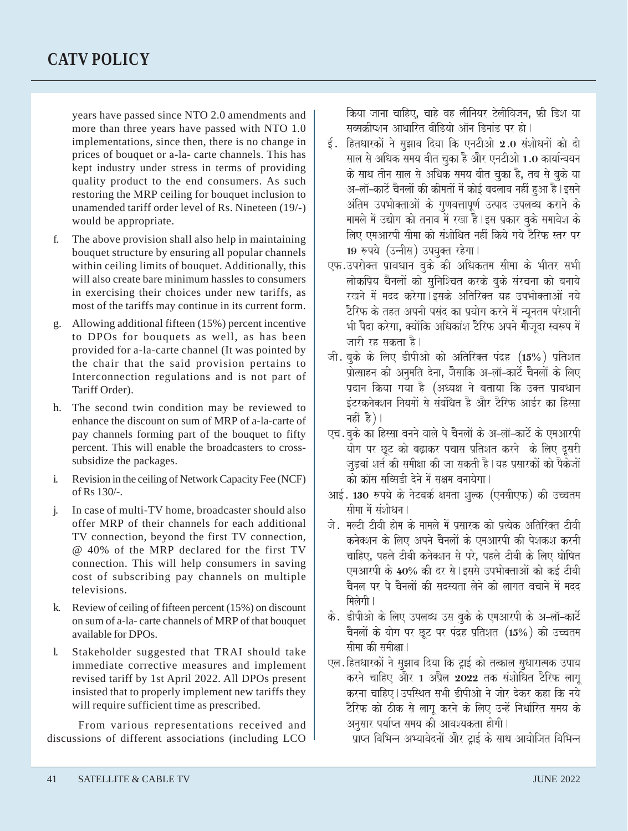years have passed since NTO 2.0 amendments and more than three years have passed with NTO 1.0 implementations, since then, there is no change in prices of bouquet or a-la- carte channels. This has kept industry under stress in terms of providing quality product to the end consumers. As such restoring the MRP ceiling for bouquet inclusion to unamended tariff order level of Rs. Nineteen (19/-) would be appropriate.

- f. The above provision shall also help in maintaining bouquet structure by ensuring all popular channels within ceiling limits of bouquet. Additionally, this will also create bare minimum hassles to consumers in exercising their choices under new tariffs, as most of the tariffs may continue in its current form.
- g. Allowing additional fifteen (15%) percent incentive to DPOs for bouquets as well, as has been provided for a-la-carte channel (It was pointed by the chair that the said provision pertains to Interconnection regulations and is not part of Tariff Order).
- h. The second twin condition may be reviewed to enhance the discount on sum of MRP of a-la-carte of pay channels forming part of the bouquet to fifty percent. This will enable the broadcasters to crosssubsidize the packages.
- i. Revision in the ceiling of Network Capacity Fee (NCF) of Rs 130/-.
- j. In case of multi-TV home, broadcaster should also offer MRP of their channels for each additional TV connection, beyond the first TV connection, @ 40% of the MRP declared for the first TV connection. This will help consumers in saving cost of subscribing pay channels on multiple televisions.
- k. Review of ceiling of fifteen percent (15%) on discount on sum of a-la- carte channels of MRP of that bouquet available for DPOs.
- l. Stakeholder suggested that TRAI should take immediate corrective measures and implement revised tariff by 1st April 2022. All DPOs present insisted that to properly implement new tariffs they will require sufficient time as prescribed.

From various representations received and discussions of different associations (including LCO किया जाना चाहिए, चाहे वह लीनियर टेलीविजन, फ्री डिश या सब्सक्रीप्शन आधारित वीडियो ऑन डिमांड पर हो।

- $\ddot{\epsilon}$ . हितधारकों ने सुझाव दिया कि एनटीओ 2.0 संशोधनों को दो साल से अधिक समय बीत चुका है और एनटीओ 1.0 कार्यान्वयन के साथ तीन साल से अधिक समय बीत चुका है, तब से बुके या .<br>अ–लॉ–कार्टे चैनलों की कीमतों में कोई बदलाव नहीं हुआ है ।इसने .<br>अंतिम उपभोक्ताओं के गुणवत्तापूर्ण उत्पाद उपलब्ध कराने के मामले में उद्योग को तनाव में रखा है।इस प्रकार बुके समावेश के लिए एमआरपी सीमा को संशोधित नहीं किये गये टैरिफ स्तर पर 19 रुपये (उन्नीस) उपयुक्त रहेगा।
- एफ.उपरोक्त प्रावधान बुके की अधिकतम सीमा के भीतर सभी लोकप्रिय चैनलों को सुनिश्चित करके बुके संरचना को बनाये रखने में मदद करेगा।इसके अतिरिक्त यह उपभोक्ताओं नये टैरिफ के तहत अपनी पसंद का प्रयोग करने में न्यूनतम परेशानी भी पैदा करेगा, क्योंकि अधिकांश टैरिफ अपने मौजूदा स्वरूप में जारी रह सकता है।
- जी. बुके के लिए डीपीओ को अतिरिक्त पंद्रह  $(15%)$  प्रतिशत .<br>प्रोत्साहन की अनुमति देना, जैसाकि अ–लॉ–कार्ट चैनलों के लिए प्रदान किया गया है (अध्यक्ष ने बताया कि उक्त प्रावधान .<br>इंटरकनेक्शन नियमों से संबंधित है और टैरिफ आर्डर का हिस्सा नहीं है)।
- एच. बुके का हिस्सा बनने वाले पे चैनलों के अ–लॉ–कार्टे के एमआरपी जू<br>योग पर छूट को बढ़ाकर पचास प्रतिशत करने के लिए दूसरी जडवां शर्त की समीक्षा की जा सकती है | यह प्रसारकों को पैकेजों को क्रॉस सब्सिडी देने में सक्षम बनायेगा।
- आई. 130 रुपये के नेटवर्क क्षमता शुल्क (एनसीएफ) की उच्चतम सीमा में संशोधन।
- जे. मल्टी टीवी होम के मामले में प्रसारक को प्रत्येक अतिरिक्त टीवी कनेक्शन के लिए अपने चैनलों के एमआरपी की पेशकश करनी चाहिए, पहले टीवी कनेक्शन से परे, पहले टीवी के लिए घोषित एमआरपी के 40% की दर से | इससे उपभोक्ताओं को कई टीवी चैनल पर पे चैनलों की सदस्यता लेने की लागत बचाने में मदद मिलेगी ।
- के. डीपीओ के लिए उपलब्ध उस बुके के एमआरपी के अ–लॉ–कार्ट चैनलों के योग पर छूट पर पंद्रह प्रतिशत  $(15\%)$  की उच्चतम सीमा की समीक्षा l
- एल.हितधारकों ने सुझाव दिया कि ट्राई को तत्काल सुधारात्मक उपाय करने चाहिए और 1 अप्रैल 2022 तक संशोधित टैरिफ लाग करना चाहिए | उपस्थित सभी डीपीओ ने जोर देकर कहा कि नये टैरिफ को ठीक से लाग करने के लिए उन्हें निर्धारित समय के अनसार पर्याप्त समय की आवश्यकता होगी।

प्राप्त विभिन्न अभ्यावेदनों और ट्राई के साथ आयोजित विभिन्न